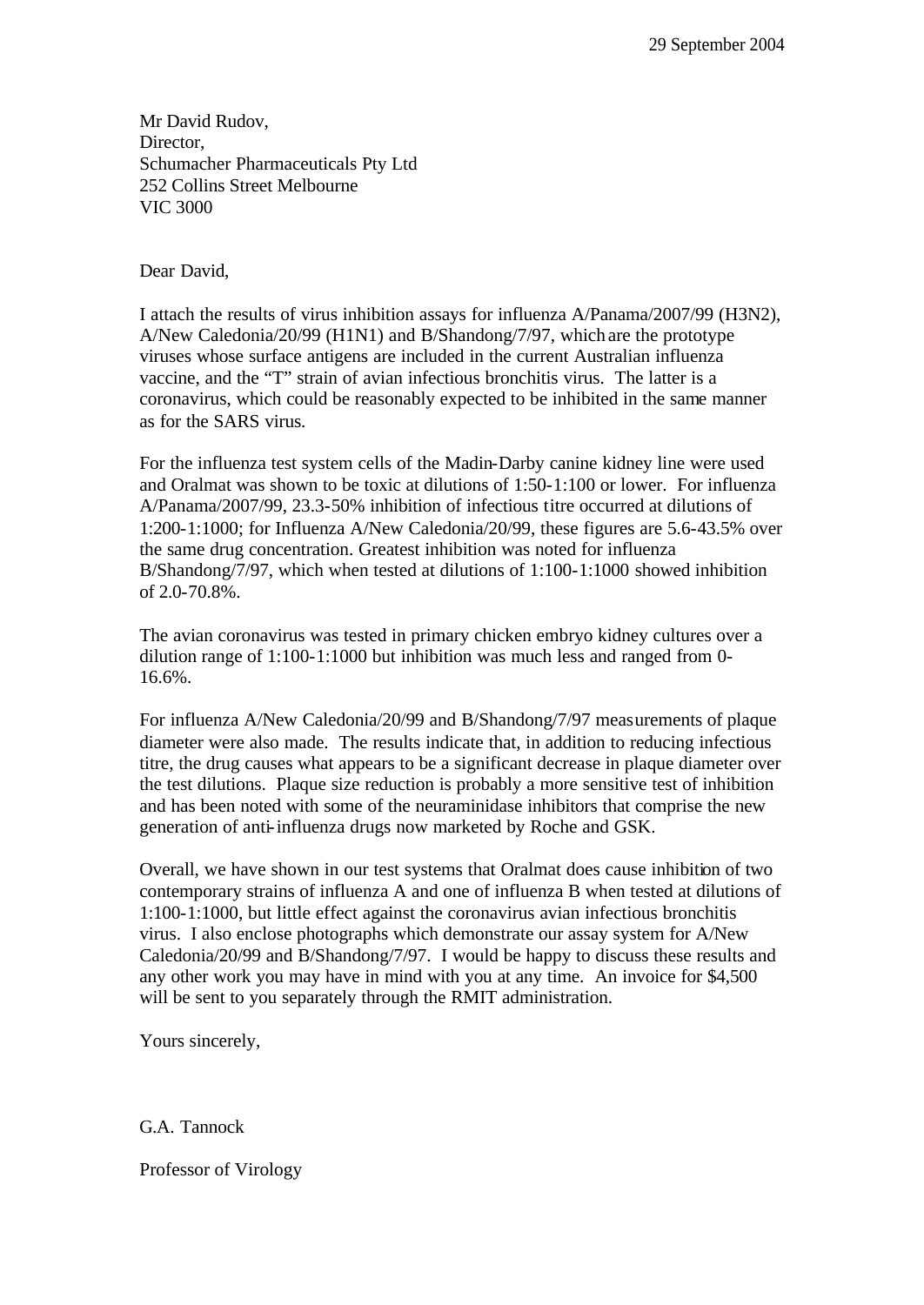Mr David Rudov, Director, Schumacher Pharmaceuticals Pty Ltd 252 Collins Street Melbourne VIC 3000

Dear David,

I attach the results of virus inhibition assays for influenza A/Panama/2007/99 (H3N2), A/New Caledonia/20/99 (H1N1) and B/Shandong/7/97, which are the prototype viruses whose surface antigens are included in the current Australian influenza vaccine, and the "T" strain of avian infectious bronchitis virus. The latter is a coronavirus, which could be reasonably expected to be inhibited in the same manner as for the SARS virus.

For the influenza test system cells of the Madin-Darby canine kidney line were used and Oralmat was shown to be toxic at dilutions of 1:50-1:100 or lower. For influenza A/Panama/2007/99, 23.3-50% inhibition of infectious titre occurred at dilutions of 1:200-1:1000; for Influenza A/New Caledonia/20/99, these figures are 5.6-43.5% over the same drug concentration. Greatest inhibition was noted for influenza B/Shandong/7/97, which when tested at dilutions of 1:100-1:1000 showed inhibition of 2.0-70.8%.

The avian coronavirus was tested in primary chicken embryo kidney cultures over a dilution range of 1:100-1:1000 but inhibition was much less and ranged from 0- 16.6%.

For influenza A/New Caledonia/20/99 and B/Shandong/7/97 measurements of plaque diameter were also made. The results indicate that, in addition to reducing infectious titre, the drug causes what appears to be a significant decrease in plaque diameter over the test dilutions. Plaque size reduction is probably a more sensitive test of inhibition and has been noted with some of the neuraminidase inhibitors that comprise the new generation of anti-influenza drugs now marketed by Roche and GSK.

Overall, we have shown in our test systems that Oralmat does cause inhibition of two contemporary strains of influenza A and one of influenza B when tested at dilutions of 1:100-1:1000, but little effect against the coronavirus avian infectious bronchitis virus. I also enclose photographs which demonstrate our assay system for A/New Caledonia/20/99 and B/Shandong/7/97. I would be happy to discuss these results and any other work you may have in mind with you at any time. An invoice for \$4,500 will be sent to you separately through the RMIT administration.

Yours sincerely,

G.A. Tannock

Professor of Virology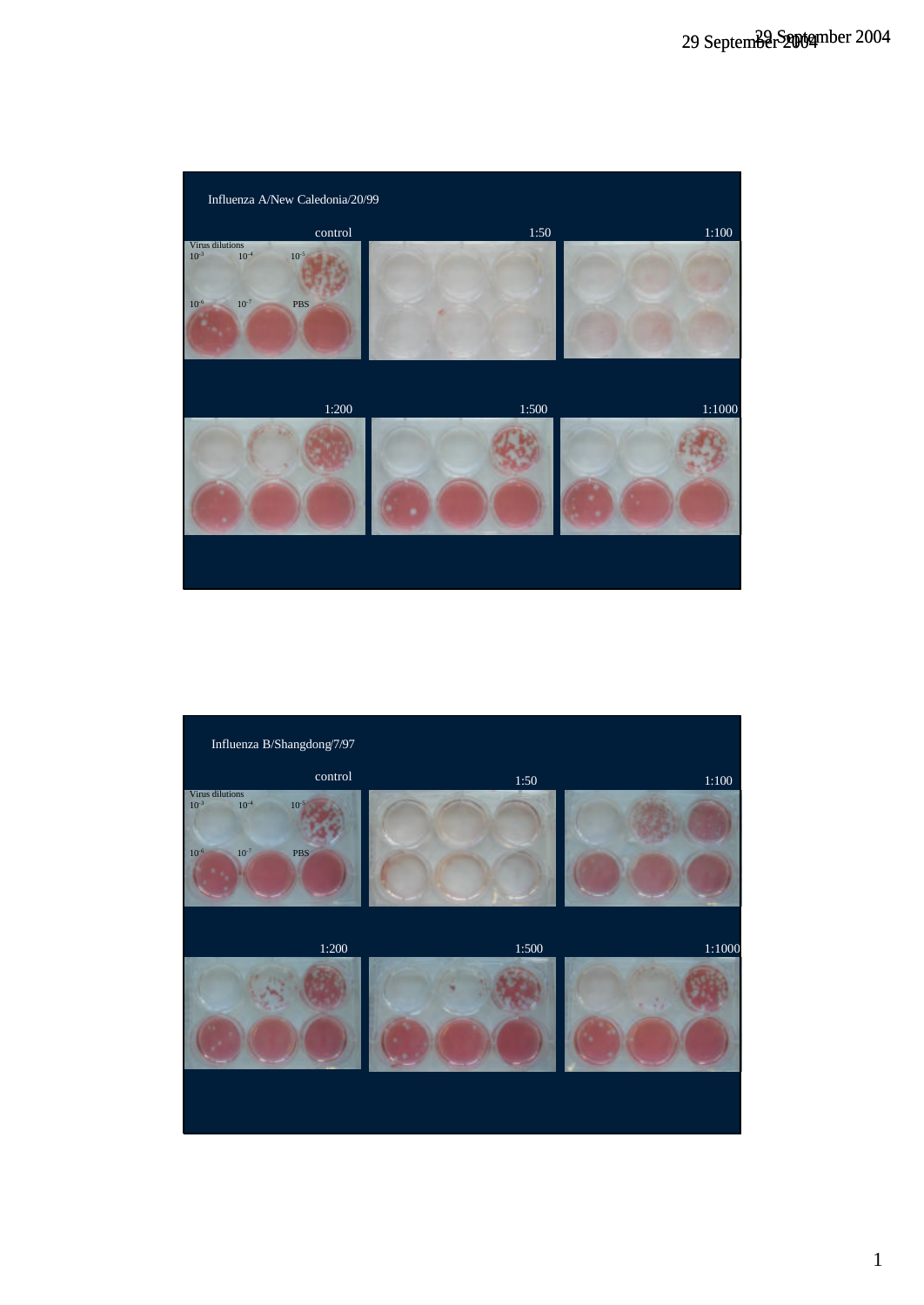